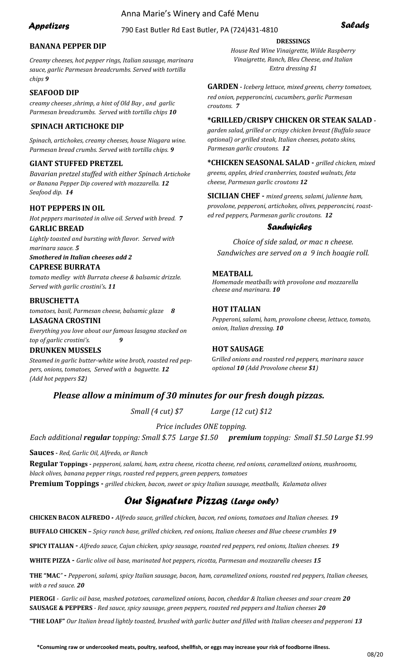# Anna Marie's Winery and Café Menu

# 790 East Butler Rd East Butler, PA (724)431-<sup>4810</sup> *Appetizers*

# **BANANA PEPPER DIP**

*Creamy cheeses, hot pepper rings, Italian sausage, marinara sauce, garlic Parmesan breadcrumbs. Served with tortilla chips 9*

## **SEAFOOD DIP**

*creamy cheeses ,shrimp, a hint of Old Bay , and garlic Parmesan breadcrumbs. Served with tortilla chips 10*

## **SPINACH ARTICHOKE DIP**

*Spinach, artichokes, creamy cheeses, house Niagara wine. Parmesan bread crumbs. Served with tortilla chips. 9*

## **GIANT STUFFED PRETZEL**

*Bavarian pretzel stuffed with either Spinach Artichoke or Banana Pepper Dip covered with mozzarella. 12 Seafood dip. 14*

#### **HOT PEPPERS IN OIL**

*Hot peppers marinated in olive oil. Served with bread. 7* **GARLIC BREAD**

*Lightly toasted and bursting with flavor. Served with marinara sauce. 5*

*Smothered in Italian cheeses add 2*

# **CAPRESE BURRATA**

*tomato medley with Burrata cheese & balsamic drizzle. Served with garlic crostini's. 11*

# **BRUSCHETTA**

*tomatoes, basil, Parmesan cheese, balsamic glaze 8*

# **LASAGNA CROSTINI**

*Everything you love about our famous lasagna stacked on top of garlic crostini's. 9*

#### **DRUNKEN MUSSELS**

*Steamed in garlic butter-white wine broth, roasted red peppers, onions, tomatoes, Served with a baguette. 12 (Add hot peppers \$2)*

# **DRESSINGS**

*House Red Wine Vinaigrette, Wilde Raspberry Vinaigrette, Ranch, Bleu Cheese, and Italian Extra dressing \$1*

**GARDEN -** *Iceberg lettuce, mixed greens, cherry tomatoes, red onion, pepperoncini, cucumbers, garlic Parmesan croutons. 7*

#### **\*GRILLED/CRISPY CHICKEN OR STEAK SALAD** *-*

*garden salad, grilled or crispy chicken breast (Buffalo sauce optional) or grilled steak, Italian cheeses, potato skins, Parmesan garlic croutons. 12*

**\*CHICKEN SEASONAL SALAD -** *grilled chicken*, *mixed greens, apples, dried cranberries, toasted walnuts, feta cheese, Parmesan garlic croutons 12*

**SICILIAN CHEF -** *mixed greens, salami, julienne ham, provolone, pepperoni, artichokes, olives, pepperoncini, roasted red peppers, Parmesan garlic croutons. 12*

## *Sandwiches*

*Choice of side salad, or mac n cheese. Sandwiches are served on a 9 inch hoagie roll.*

## **MEATBALL**

*Homemade meatballs with provolone and mozzarella cheese and marinara. 10*

# **HOT ITALIAN**

*Pepperoni, salami, ham, provolone cheese, lettuce, tomato, onion, Italian dressing. 10*

#### **HOT SAUSAGE**

G*rilled onions and roasted red peppers, marinara sauce optional 10 (Add Provolone cheese \$1)*

# *Please allow a minimum of 30 minutes for our fresh dough pizzas.*

*Small (4 cut) \$7 Large (12 cut) \$12*

*Price includes ONE topping.* 

*Each additional regular topping: Small \$.75 Large \$1.50 premium topping: Small \$1.50 Large \$1.99*

**Sauces -** *Red, Garlic Oil, Alfredo, or Ranch*

**Regular Toppings -** *pepperoni, salami, ham, extra cheese, ricotta cheese, red onions, caramelized onions, mushrooms, black olives, banana pepper rings, roasted red peppers, green peppers, tomatoes*  **Premium Toppings -** *grilled chicken, bacon, sweet or spicy Italian sausage, meatballs, Kalamata olives*

# *Our Signature Pizzas (Large only)*

**CHICKEN BACON ALFREDO** *- Alfredo sauce, grilled chicken, bacon, red onions, tomatoes and Italian cheeses. 19*

**BUFFALO CHICKEN –** *Spicy ranch base, grilled chicken, red onions, Italian cheeses and Blue cheese crumbles 19*

**SPICY ITALIAN -** *Alfredo sauce, Cajun chicken, spicy sausage, roasted red peppers, red onions, Italian cheeses. 19*

**WHITE PIZZA -** *Garlic olive oil base, marinated hot peppers, ricotta, Parmesan and mozzarella cheeses 15*

**THE "MAC***"* **-** *Pepperoni, salami, spicy Italian sausage, bacon, ham, caramelized onions, roasted red peppers, Italian cheeses, with a red sauce. 20*

**PIEROGI** *- Garlic oil base, mashed potatoes, caramelized onions, bacon, cheddar & Italian cheeses and sour cream 20*  **SAUSAGE & PEPPERS** *- Red sauce, spicy sausage, green peppers, roasted red peppers and Italian cheeses 20*

**"THE LOAF"** *Our Italian bread lightly toasted, brushed with garlic butter and filled with Italian cheeses and pepperoni 13*